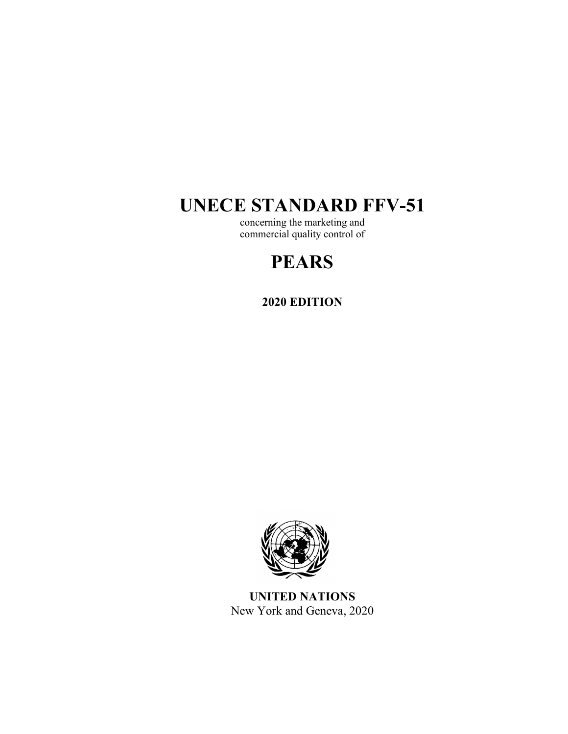# **UNECE STANDARD FFV-51**

concerning the marketing and commercial quality control of

# **PEARS**

**2020 EDITION** 



**UNITED NATIONS**  New York and Geneva, 2020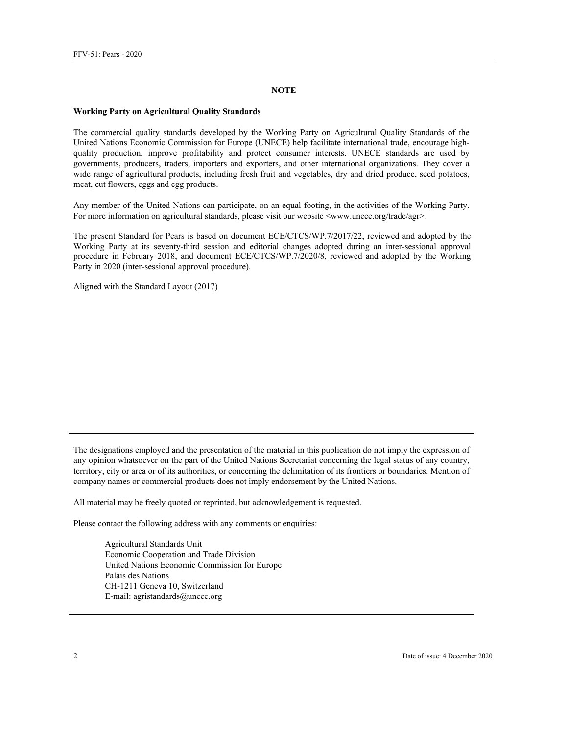#### **NOTE**

#### **Working Party on Agricultural Quality Standards**

The commercial quality standards developed by the Working Party on Agricultural Quality Standards of the United Nations Economic Commission for Europe (UNECE) help facilitate international trade, encourage highquality production, improve profitability and protect consumer interests. UNECE standards are used by governments, producers, traders, importers and exporters, and other international organizations. They cover a wide range of agricultural products, including fresh fruit and vegetables, dry and dried produce, seed potatoes, meat, cut flowers, eggs and egg products.

Any member of the United Nations can participate, on an equal footing, in the activities of the Working Party. For more information on agricultural standards, please visit our website  $\langle$ www.unece.org/trade/agr>.

The present Standard for Pears is based on document ECE/CTCS/WP.7/2017/22, reviewed and adopted by the Working Party at its seventy-third session and editorial changes adopted during an inter-sessional approval procedure in February 2018, and document ECE/CTCS/WP.7/2020/8, reviewed and adopted by the Working Party in 2020 (inter-sessional approval procedure).

Aligned with the Standard Layout (2017)

The designations employed and the presentation of the material in this publication do not imply the expression of any opinion whatsoever on the part of the United Nations Secretariat concerning the legal status of any country, territory, city or area or of its authorities, or concerning the delimitation of its frontiers or boundaries. Mention of company names or commercial products does not imply endorsement by the United Nations.

All material may be freely quoted or reprinted, but acknowledgement is requested.

Please contact the following address with any comments or enquiries:

Agricultural Standards Unit Economic Cooperation and Trade Division United Nations Economic Commission for Europe Palais des Nations CH-1211 Geneva 10, Switzerland E-mail: agristandards@unece.org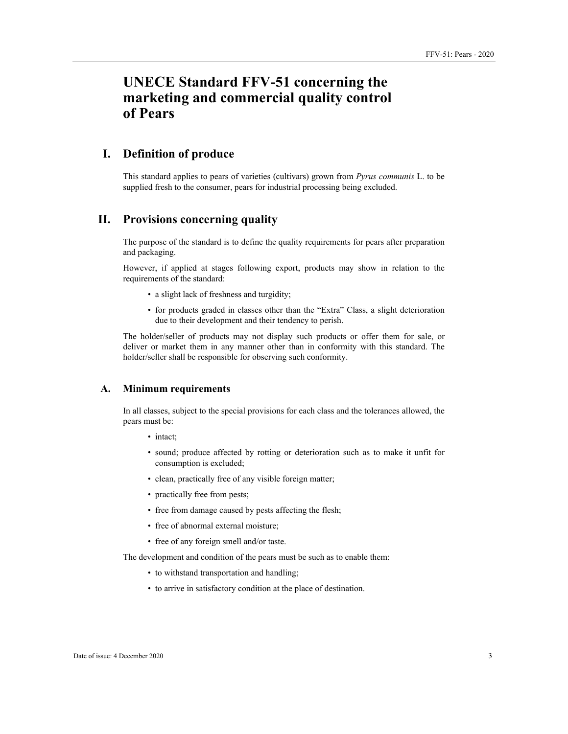## **UNECE Standard FFV-51 concerning the marketing and commercial quality control of Pears**

## **I. Definition of produce**

This standard applies to pears of varieties (cultivars) grown from *Pyrus communis* L. to be supplied fresh to the consumer, pears for industrial processing being excluded.

## **II. Provisions concerning quality**

The purpose of the standard is to define the quality requirements for pears after preparation and packaging.

However, if applied at stages following export, products may show in relation to the requirements of the standard:

- a slight lack of freshness and turgidity;
- for products graded in classes other than the "Extra" Class, a slight deterioration due to their development and their tendency to perish.

The holder/seller of products may not display such products or offer them for sale, or deliver or market them in any manner other than in conformity with this standard. The holder/seller shall be responsible for observing such conformity.

#### **A. Minimum requirements**

In all classes, subject to the special provisions for each class and the tolerances allowed, the pears must be:

- intact;
- sound; produce affected by rotting or deterioration such as to make it unfit for consumption is excluded;
- clean, practically free of any visible foreign matter;
- practically free from pests;
- free from damage caused by pests affecting the flesh;
- free of abnormal external moisture;
- free of any foreign smell and/or taste.

The development and condition of the pears must be such as to enable them:

- to withstand transportation and handling;
- to arrive in satisfactory condition at the place of destination.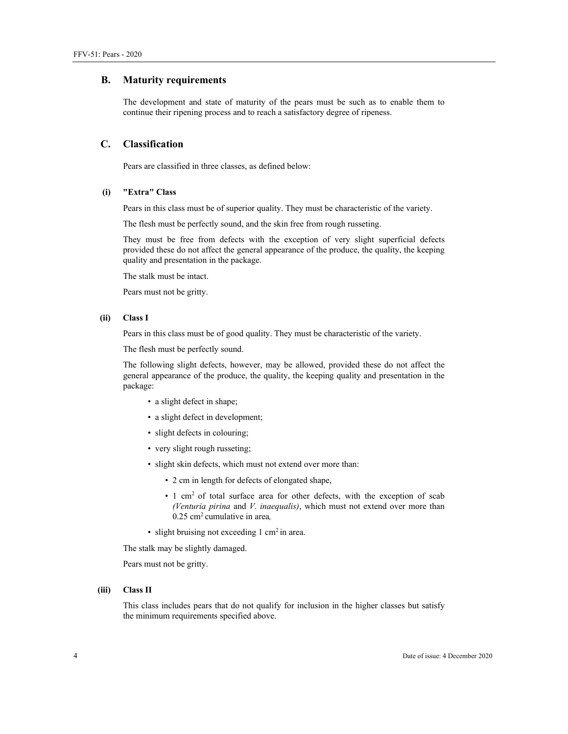#### **B. Maturity requirements**

The development and state of maturity of the pears must be such as to enable them to continue their ripening process and to reach a satisfactory degree of ripeness.

#### **C. Classification**

Pears are classified in three classes, as defined below:

#### **(i) "Extra" Class**

Pears in this class must be of superior quality. They must be characteristic of the variety.

The flesh must be perfectly sound, and the skin free from rough russeting.

They must be free from defects with the exception of very slight superficial defects provided these do not affect the general appearance of the produce, the quality, the keeping quality and presentation in the package.

The stalk must be intact.

Pears must not be gritty.

#### **(ii) Class I**

Pears in this class must be of good quality. They must be characteristic of the variety.

The flesh must be perfectly sound.

The following slight defects, however, may be allowed, provided these do not affect the general appearance of the produce, the quality, the keeping quality and presentation in the package:

- a slight defect in shape;
- a slight defect in development;
- slight defects in colouring;
- very slight rough russeting;
- slight skin defects, which must not extend over more than:
	- 2 cm in length for defects of elongated shape,
	- $\cdot$  1 cm<sup>2</sup> of total surface area for other defects, with the exception of scab *(Venturia pirina* and *V. inaequalis)*, which must not extend over more than 0.25 cm2 cumulative in area*,*
- slight bruising not exceeding 1 cm<sup>2</sup> in area.

The stalk may be slightly damaged.

Pears must not be gritty.

#### **(iii) Class II**

This class includes pears that do not qualify for inclusion in the higher classes but satisfy the minimum requirements specified above.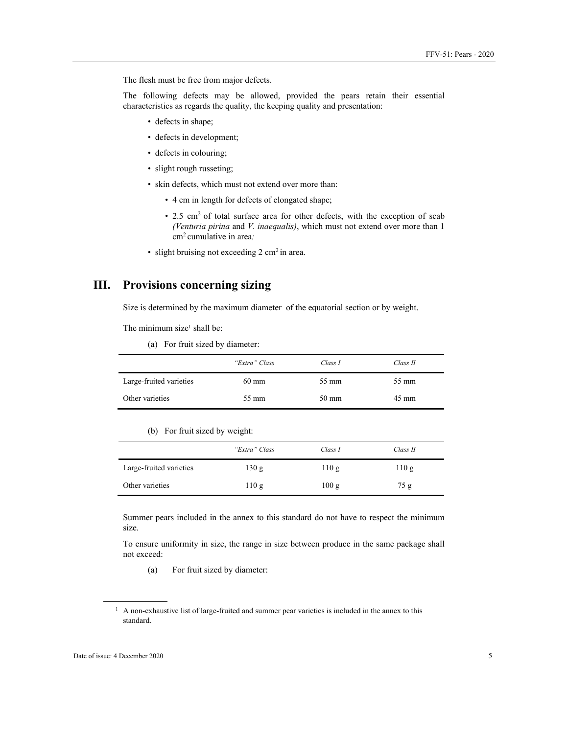The flesh must be free from major defects.

The following defects may be allowed, provided the pears retain their essential characteristics as regards the quality, the keeping quality and presentation:

- defects in shape;
- defects in development;
- defects in colouring;
- slight rough russeting;
- skin defects, which must not extend over more than:
	- 4 cm in length for defects of elongated shape;
	- 2.5 cm<sup>2</sup> of total surface area for other defects, with the exception of scab *(Venturia pirina* and *V. inaequalis)*, which must not extend over more than 1 cm2 cumulative in area*;*
- slight bruising not exceeding  $2 \text{ cm}^2$  in area.

## **III. Provisions concerning sizing**

Size is determined by the maximum diameter of the equatorial section or by weight.

The minimum size<sup>1</sup> shall be:

(a) For fruit sized by diameter:

|                         | "Extra" Class   | Class I         | Class II        |
|-------------------------|-----------------|-----------------|-----------------|
| Large-fruited varieties | $60 \text{ mm}$ | 55 mm           | 55 mm           |
| Other varieties         | 55 mm           | $50 \text{ mm}$ | $45 \text{ mm}$ |

#### (b) For fruit sized by weight:

|                         | "Extra" Class | Class I | Class II |
|-------------------------|---------------|---------|----------|
| Large-fruited varieties | 130 g         | 110 g   | 110g     |
| Other varieties         | 110g          | 100 g   | 75 g     |

Summer pears included in the annex to this standard do not have to respect the minimum size.

To ensure uniformity in size, the range in size between produce in the same package shall not exceed:

(a) For fruit sized by diameter:

 $\overline{a}$ 

<sup>&</sup>lt;sup>1</sup> A non-exhaustive list of large-fruited and summer pear varieties is included in the annex to this standard.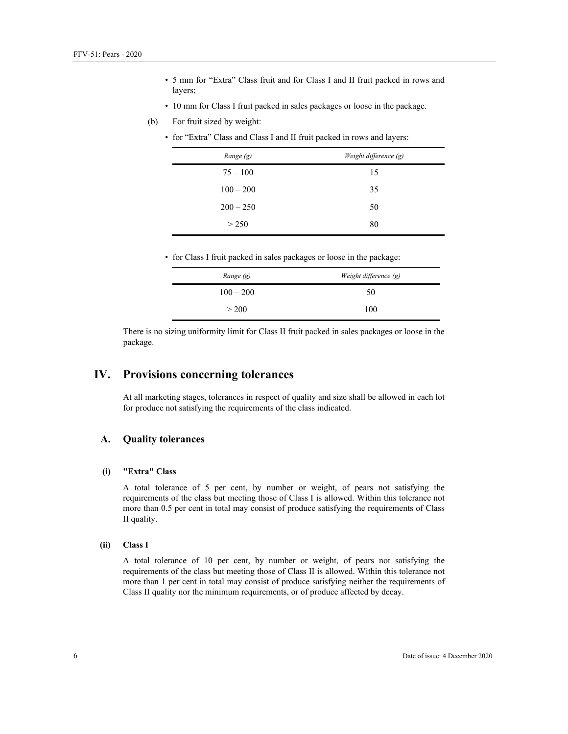- 5 mm for "Extra" Class fruit and for Class I and II fruit packed in rows and layers;
- 10 mm for Class I fruit packed in sales packages or loose in the package.
- (b) For fruit sized by weight:
	- for "Extra" Class and Class I and II fruit packed in rows and layers:

| Range (g)   | Weight difference (g) |
|-------------|-----------------------|
| $75 - 100$  | 15                    |
| $100 - 200$ | 35                    |
| $200 - 250$ | 50                    |
| > 250       | 80                    |

• for Class I fruit packed in sales packages or loose in the package:

| Range (g)   | Weight difference (g) |
|-------------|-----------------------|
| $100 - 200$ | 50                    |
| > 200       | 100                   |

There is no sizing uniformity limit for Class II fruit packed in sales packages or loose in the package.

## **IV. Provisions concerning tolerances**

At all marketing stages, tolerances in respect of quality and size shall be allowed in each lot for produce not satisfying the requirements of the class indicated.

### **A. Quality tolerances**

#### **(i) "Extra" Class**

A total tolerance of 5 per cent, by number or weight, of pears not satisfying the requirements of the class but meeting those of Class I is allowed. Within this tolerance not more than 0.5 per cent in total may consist of produce satisfying the requirements of Class II quality.

#### **(ii) Class I**

A total tolerance of 10 per cent, by number or weight, of pears not satisfying the requirements of the class but meeting those of Class II is allowed. Within this tolerance not more than 1 per cent in total may consist of produce satisfying neither the requirements of Class II quality nor the minimum requirements, or of produce affected by decay.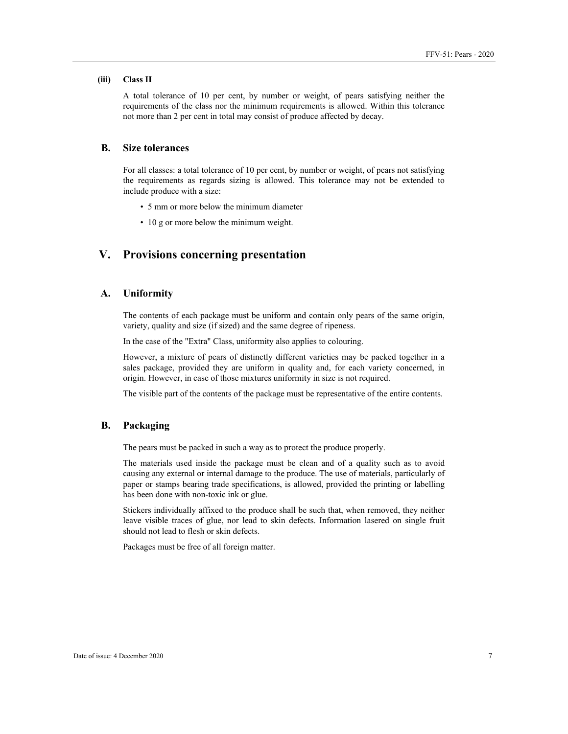#### **(iii) Class II**

A total tolerance of 10 per cent, by number or weight, of pears satisfying neither the requirements of the class nor the minimum requirements is allowed. Within this tolerance not more than 2 per cent in total may consist of produce affected by decay.

### **B. Size tolerances**

For all classes: a total tolerance of 10 per cent, by number or weight, of pears not satisfying the requirements as regards sizing is allowed. This tolerance may not be extended to include produce with a size:

- 5 mm or more below the minimum diameter
- 10 g or more below the minimum weight.

## **V. Provisions concerning presentation**

#### **A. Uniformity**

The contents of each package must be uniform and contain only pears of the same origin, variety, quality and size (if sized) and the same degree of ripeness.

In the case of the "Extra" Class, uniformity also applies to colouring.

However, a mixture of pears of distinctly different varieties may be packed together in a sales package, provided they are uniform in quality and, for each variety concerned, in origin. However, in case of those mixtures uniformity in size is not required.

The visible part of the contents of the package must be representative of the entire contents.

## **B. Packaging**

The pears must be packed in such a way as to protect the produce properly.

The materials used inside the package must be clean and of a quality such as to avoid causing any external or internal damage to the produce. The use of materials, particularly of paper or stamps bearing trade specifications, is allowed, provided the printing or labelling has been done with non-toxic ink or glue.

Stickers individually affixed to the produce shall be such that, when removed, they neither leave visible traces of glue, nor lead to skin defects. Information lasered on single fruit should not lead to flesh or skin defects.

Packages must be free of all foreign matter.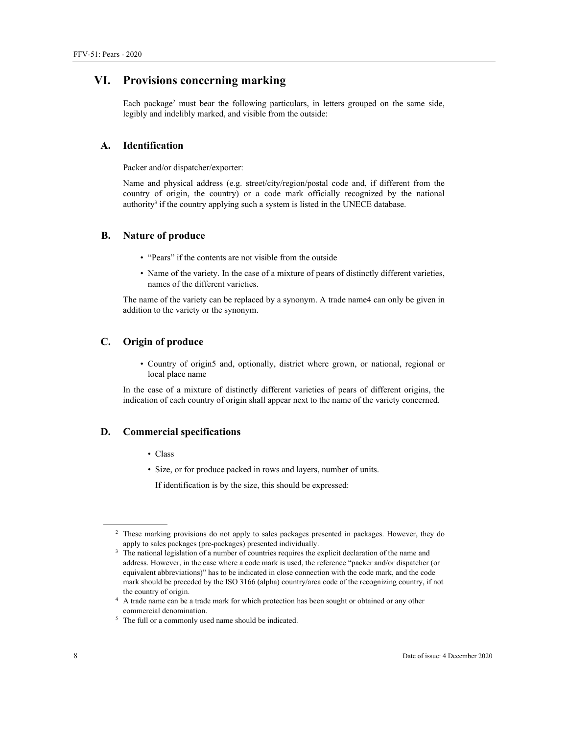## **VI. Provisions concerning marking**

Each package<sup>2</sup> must bear the following particulars, in letters grouped on the same side, legibly and indelibly marked, and visible from the outside:

#### **A. Identification**

Packer and/or dispatcher/exporter:

Name and physical address (e.g. street/city/region/postal code and, if different from the country of origin, the country) or a code mark officially recognized by the national authority<sup>3</sup> if the country applying such a system is listed in the UNECE database.

#### **B. Nature of produce**

- "Pears" if the contents are not visible from the outside
- Name of the variety. In the case of a mixture of pears of distinctly different varieties, names of the different varieties.

The name of the variety can be replaced by a synonym. A trade name4 can only be given in addition to the variety or the synonym.

## **C. Origin of produce**

• Country of origin5 and, optionally, district where grown, or national, regional or local place name

In the case of a mixture of distinctly different varieties of pears of different origins, the indication of each country of origin shall appear next to the name of the variety concerned.

#### **D. Commercial specifications**

- Class
- Size, or for produce packed in rows and layers, number of units.

If identification is by the size, this should be expressed:

 $\overline{a}$ 

<sup>&</sup>lt;sup>2</sup> These marking provisions do not apply to sales packages presented in packages. However, they do apply to sales packages (pre-packages) presented individually. 3

<sup>&</sup>lt;sup>3</sup> The national legislation of a number of countries requires the explicit declaration of the name and address. However, in the case where a code mark is used, the reference "packer and/or dispatcher (or equivalent abbreviations)" has to be indicated in close connection with the code mark, and the code mark should be preceded by the ISO 3166 (alpha) country/area code of the recognizing country, if not

the country of origin. 4 A trade name can be a trade mark for which protection has been sought or obtained or any other commercial denomination.

 <sup>5</sup> <sup>5</sup> The full or a commonly used name should be indicated.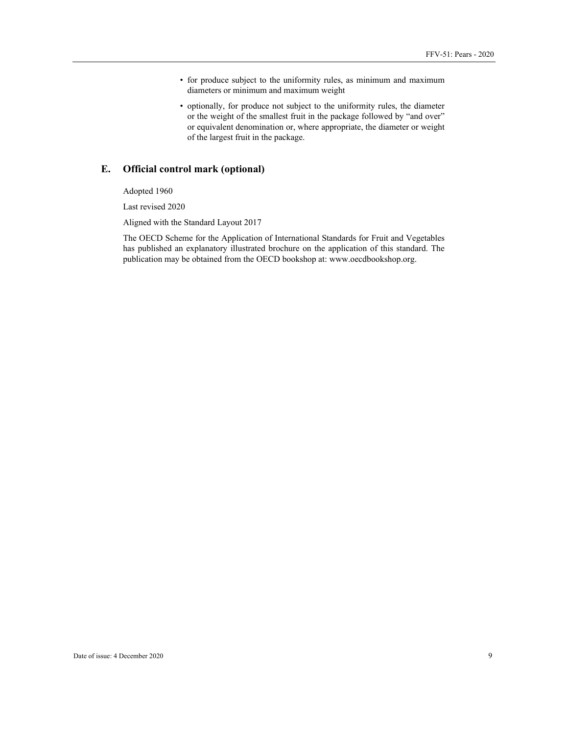- for produce subject to the uniformity rules, as minimum and maximum diameters or minimum and maximum weight
- optionally, for produce not subject to the uniformity rules, the diameter or the weight of the smallest fruit in the package followed by "and over" or equivalent denomination or, where appropriate, the diameter or weight of the largest fruit in the package.

## **E. Official control mark (optional)**

Adopted 1960

Last revised 2020

Aligned with the Standard Layout 2017

The OECD Scheme for the Application of International Standards for Fruit and Vegetables has published an explanatory illustrated brochure on the application of this standard. The publication may be obtained from the OECD bookshop at: www.oecdbookshop.org.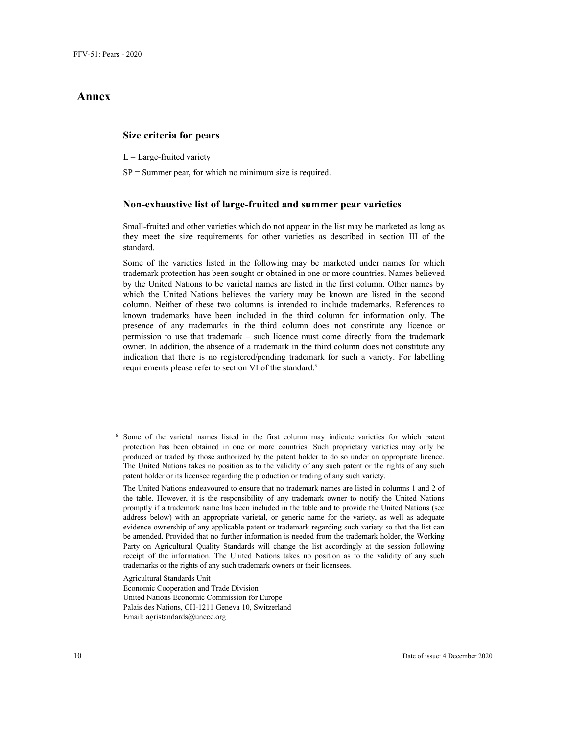## **Annex**

## **Size criteria for pears**

 $L =$  Large-fruited variety

 $SP =$  Summer pear, for which no minimum size is required.

#### **Non-exhaustive list of large-fruited and summer pear varieties**

Small-fruited and other varieties which do not appear in the list may be marketed as long as they meet the size requirements for other varieties as described in section III of the standard.

Some of the varieties listed in the following may be marketed under names for which trademark protection has been sought or obtained in one or more countries. Names believed by the United Nations to be varietal names are listed in the first column. Other names by which the United Nations believes the variety may be known are listed in the second column. Neither of these two columns is intended to include trademarks. References to known trademarks have been included in the third column for information only. The presence of any trademarks in the third column does not constitute any licence or permission to use that trademark – such licence must come directly from the trademark owner. In addition, the absence of a trademark in the third column does not constitute any indication that there is no registered/pending trademark for such a variety. For labelling requirements please refer to section VI of the standard.<sup>6</sup>

Agricultural Standards Unit

Economic Cooperation and Trade Division United Nations Economic Commission for Europe Palais des Nations, CH-1211 Geneva 10, Switzerland Email: agristandards@unece.org

 $\overline{a}$ 

<sup>6</sup> Some of the varietal names listed in the first column may indicate varieties for which patent protection has been obtained in one or more countries. Such proprietary varieties may only be produced or traded by those authorized by the patent holder to do so under an appropriate licence. The United Nations takes no position as to the validity of any such patent or the rights of any such patent holder or its licensee regarding the production or trading of any such variety.

The United Nations endeavoured to ensure that no trademark names are listed in columns 1 and 2 of the table. However, it is the responsibility of any trademark owner to notify the United Nations promptly if a trademark name has been included in the table and to provide the United Nations (see address below) with an appropriate varietal, or generic name for the variety, as well as adequate evidence ownership of any applicable patent or trademark regarding such variety so that the list can be amended. Provided that no further information is needed from the trademark holder, the Working Party on Agricultural Quality Standards will change the list accordingly at the session following receipt of the information. The United Nations takes no position as to the validity of any such trademarks or the rights of any such trademark owners or their licensees.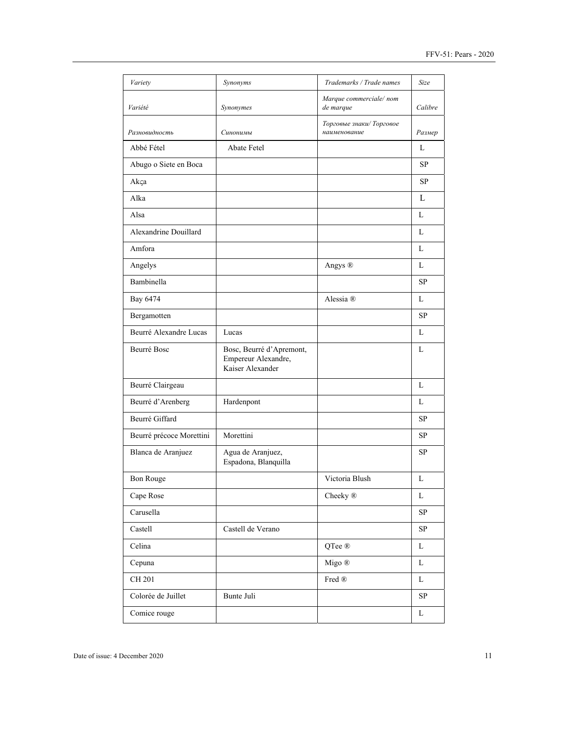| Variety                  | Synonyms                                                            | Trademarks / Trade names                       | Size       |
|--------------------------|---------------------------------------------------------------------|------------------------------------------------|------------|
| Variété                  | Synonymes                                                           | Marque commerciale/nom<br>de marque            | Calibre    |
| Разновидность            | Синонимы                                                            | Торговые знаки/Торговое<br>наименование        | Размер     |
| Abbé Fétel               | Abate Fetel                                                         |                                                | L          |
| Abugo o Siete en Boca    |                                                                     |                                                | SP         |
| Akça                     |                                                                     |                                                | <b>SP</b>  |
| Alka                     |                                                                     |                                                | L          |
| Alsa                     |                                                                     |                                                | L          |
| Alexandrine Douillard    |                                                                     |                                                | L          |
| Amfora                   |                                                                     |                                                | L          |
| Angelys                  |                                                                     | Angys ®                                        | L          |
| Bambinella               |                                                                     |                                                | SP         |
| Bay 6474                 |                                                                     | Alessia ®                                      | L          |
| Bergamotten              |                                                                     |                                                | <b>SP</b>  |
| Beurré Alexandre Lucas   | Lucas                                                               |                                                | L          |
| Beurré Bosc              | Bosc, Beurré d'Apremont,<br>Empereur Alexandre,<br>Kaiser Alexander |                                                | L          |
| Beurré Clairgeau         |                                                                     |                                                | L          |
| Beurré d'Arenberg        | Hardenpont                                                          |                                                | L          |
| Beurré Giffard           |                                                                     |                                                | SP         |
| Beurré précoce Morettini | Morettini                                                           |                                                | SP         |
| Blanca de Aranjuez       | Agua de Aranjuez,<br>Espadona, Blanquilla                           |                                                | SP         |
| <b>Bon Rouge</b>         |                                                                     | Victoria Blush                                 | L          |
| Cape Rose                |                                                                     | Cheeky <sup>®</sup>                            | L          |
| Carusella                |                                                                     |                                                | SP         |
| Castell                  | Castell de Verano                                                   |                                                | $\rm SP$   |
| Celina                   |                                                                     | QTee $\circledR$                               | L          |
| Cepuna                   |                                                                     | Migo ®                                         | L          |
| CH 201                   |                                                                     | $\operatorname{Fred}\nolimits\mathop{\otimes}$ | L          |
| Colorée de Juillet       | Bunte Juli                                                          |                                                | ${\rm SP}$ |
| Comice rouge             |                                                                     |                                                | L          |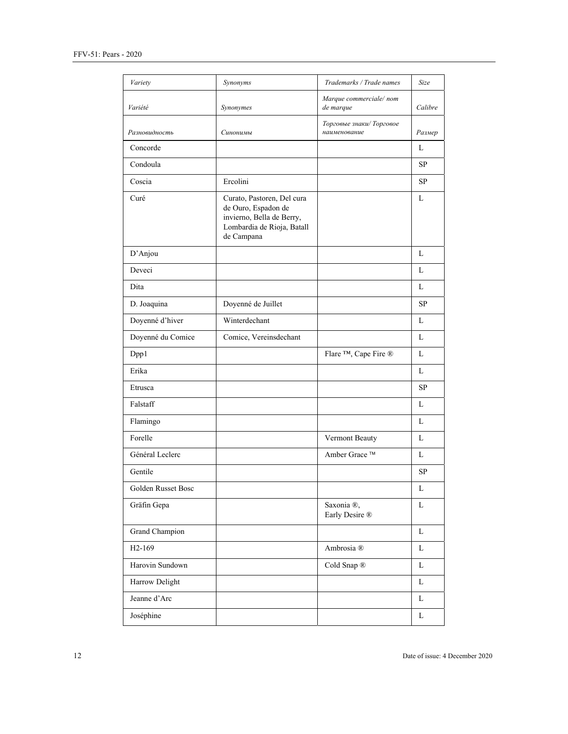| Variety             | Synonyms                                                                                                                   | Trademarks / Trade names                 | Size        |
|---------------------|----------------------------------------------------------------------------------------------------------------------------|------------------------------------------|-------------|
| Variété             | Synonymes                                                                                                                  | Marque commerciale/nom<br>de marque      | Calibre     |
| Разновидность       | Синонимы                                                                                                                   | Торговые знаки/ Торговое<br>наименование | Размер      |
| Concorde            |                                                                                                                            |                                          | L           |
| Condoula            |                                                                                                                            |                                          | SP          |
| Coscia              | Ercolini                                                                                                                   |                                          | <b>SP</b>   |
| Curé                | Curato, Pastoren, Del cura<br>de Ouro, Espadon de<br>invierno, Bella de Berry,<br>Lombardia de Rioja, Batall<br>de Campana |                                          | L           |
| D'Anjou             |                                                                                                                            |                                          | L           |
| Deveci              |                                                                                                                            |                                          | L           |
| Dita                |                                                                                                                            |                                          | L           |
| D. Joaquina         | Doyenné de Juillet                                                                                                         |                                          | SP          |
| Doyenné d'hiver     | Winterdechant                                                                                                              |                                          | L           |
| Doyenné du Comice   | Comice, Vereinsdechant                                                                                                     |                                          | L           |
| Dpp1                |                                                                                                                            | Flare ™, Cape Fire ®                     | L           |
| Erika               |                                                                                                                            |                                          | L           |
| Etrusca             |                                                                                                                            |                                          | SP          |
| Falstaff            |                                                                                                                            |                                          | L           |
| Flamingo            |                                                                                                                            |                                          | L           |
| Forelle             |                                                                                                                            | Vermont Beauty                           | L           |
| Général Leclerc     |                                                                                                                            | Amber Grace ™                            | L           |
| Gentile             |                                                                                                                            |                                          | SP          |
| Golden Russet Bosc  |                                                                                                                            |                                          | $\mathbf L$ |
| Gräfin Gepa         |                                                                                                                            | Saxonia ®,<br>Early Desire ®             | L           |
| Grand Champion      |                                                                                                                            |                                          | L           |
| H <sub>2</sub> -169 |                                                                                                                            | Ambrosia ®                               | L           |
| Harovin Sundown     |                                                                                                                            | Cold Snap ®                              | L           |
| Harrow Delight      |                                                                                                                            |                                          | $\mathbf L$ |
| Jeanne d'Arc        |                                                                                                                            |                                          | L           |
| Joséphine           |                                                                                                                            |                                          | L           |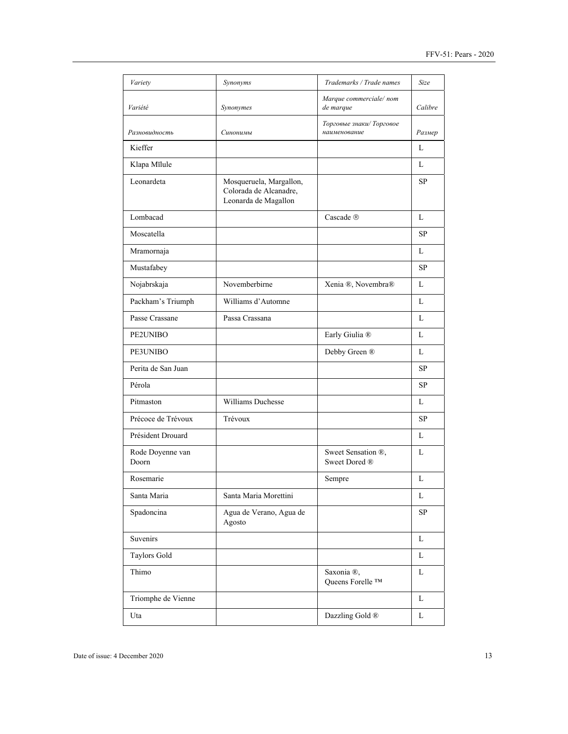| Variety                   | Synonyms                                                                  | Trademarks / Trade names                 | Size      |
|---------------------------|---------------------------------------------------------------------------|------------------------------------------|-----------|
| Variété                   | Synonymes                                                                 | Marque commerciale/nom<br>de marque      | Calibre   |
| Разновидность             | Синонимы                                                                  | Торговые знаки/ Торговое<br>наименование | Размер    |
| Kieffer                   |                                                                           |                                          | L         |
| Klapa Mīlule              |                                                                           |                                          | L         |
| Leonardeta                | Mosqueruela, Margallon,<br>Colorada de Alcanadre,<br>Leonarda de Magallon |                                          | <b>SP</b> |
| Lombacad                  |                                                                           | Cascade ®                                | L         |
| Moscatella                |                                                                           |                                          | <b>SP</b> |
| Mramornaja                |                                                                           |                                          | L         |
| Mustafabey                |                                                                           |                                          | <b>SP</b> |
| Nojabrskaja               | Novemberbirne                                                             | Xenia ®, Novembra®                       | L         |
| Packham's Triumph         | Williams d'Automne                                                        |                                          | L         |
| Passe Crassane            | Passa Crassana                                                            |                                          | L         |
| <b>PE2UNIBO</b>           |                                                                           | Early Giulia ®                           | L         |
| PE3UNIBO                  |                                                                           | Debby Green ®                            | L         |
| Perita de San Juan        |                                                                           |                                          | SP        |
| Pérola                    |                                                                           |                                          | SP        |
| Pitmaston                 | <b>Williams Duchesse</b>                                                  |                                          | L         |
| Précoce de Trévoux        | Trévoux                                                                   |                                          | SP        |
| Président Drouard         |                                                                           |                                          | L         |
| Rode Doyenne van<br>Doorn |                                                                           | Sweet Sensation ®,<br>Sweet Dored ®      | L         |
| Rosemarie                 |                                                                           | Sempre                                   | L         |
| Santa Maria               | Santa Maria Morettini                                                     |                                          | L         |
| Spadoncina                | Agua de Verano, Agua de<br>Agosto                                         |                                          | SP        |
| Suvenirs                  |                                                                           |                                          | L         |
| Taylors Gold              |                                                                           |                                          | L         |
| Thimo                     |                                                                           | Saxonia ®,<br>Queens Forelle ™           | L         |
| Triomphe de Vienne        |                                                                           |                                          | L         |
| Uta                       |                                                                           | Dazzling Gold ®                          | L         |